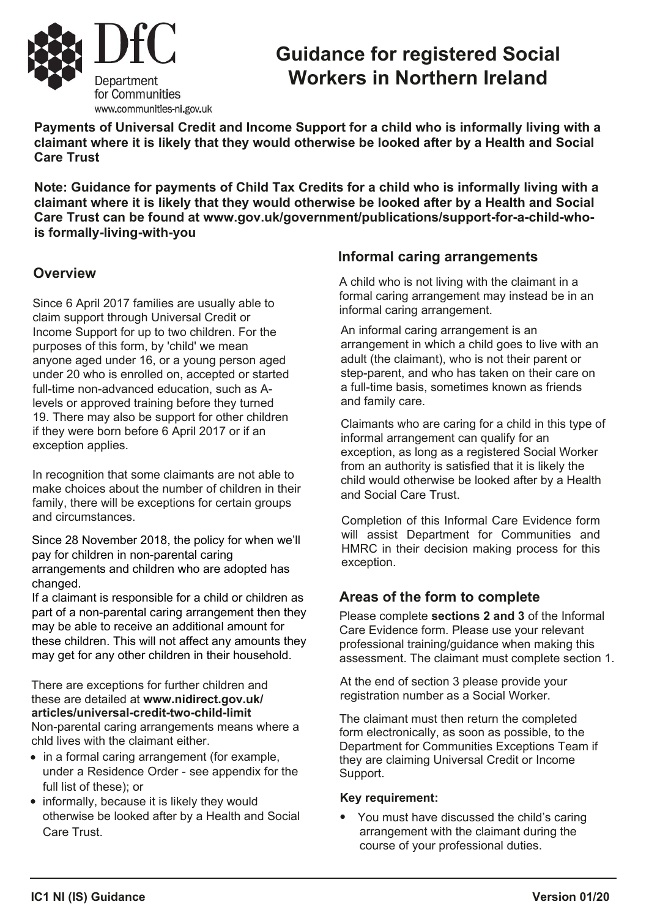

# **Guidance for registered Social Workers in Northern Ireland**

**Payments of Universal Credit and Income Support for a child who is informally living with a claimant where it is likely that they would otherwise be looked after by a Health and Social Care Trust**

**Note: Guidance for payments of Child Tax Credits for a child who is informally living with a claimant where it is likely that they would otherwise be looked after by a Health and Social Care Trust can be found at www.gov.uk/government/publications/support-for-a-child-whois formally-living-with-you**

### **Overview**

Since 6 April 2017 families are usually able to claim support through Universal Credit or Income Support for up to two children. For the purposes of this form, by 'child' we mean anyone aged under 16, or a young person aged under 20 who is enrolled on, accepted or started full-time non-advanced education, such as Alevels or approved training before they turned 19. There may also be support for other children if they were born before 6 April 2017 or if an exception applies.

In recognition that some claimants are not able to make choices [about the number of children in their](www.gov.uk/hmrc/ctc-exceptions) family, there will be exceptions for certain groups and circumstances.

Since 28 November 2018, the policy for when we'll pay for children in non-parental caring arrangements and children who are adopted has changed.

If a claimant is responsible for a child or children as part of a non-parental caring arrangement then they may be able to receive an additional amount for these children. This will not affect any amounts they may get for any other children in their household.

There are exceptions for further children and these are detailed at **www.nidirect.gov.uk/ articles/universal-credit-two-child-limit** Non-parental caring arrangements means where a chld lives with the claimant either.

- in a formal caring arrangement (for example, under a Residence Order - see appendix for the full list of these); or
- informally, because it is likely they would otherwise be looked after by a Health and Social Care Trust.

### **Informal caring arrangements**

A child who is not living with the claimant in a formal caring arrangement may instead be in an informal caring arrangement.

An informal caring arrangement is an arrangement in which a child goes to live with an adult (the claimant), who is not their parent or step-parent, and who has taken on their care on a full-time basis, sometimes known as friends and family care.

Claimants who are caring for a child in this type of informal arrangement can qualify for an exception, as long as a registered Social Worker from an authority is satisfied that it is likely the child would otherwise be looked after by a Health and Social Care Trust.

Completion of this Informal Care Evidence form will assist Department for Communities and HMRC in their decision making process for this exception.

### **Areas of the form to complete**

Please complete **sections 2 and 3** of the Informal Care Evidence form. Please use your relevant professional training/guidance when making this assessment. The claimant must complete section 1.

At the end of section 3 please provide your registration number as a Social Worker.

The claimant must then return the completed form electronically, as soon as possible, to the Department for Communities Exceptions Team if they are claiming Universal Credit or Income Support.

#### **Key requirement:**

• You must have discussed the child's caring arrangement with the claimant during the course of your professional duties.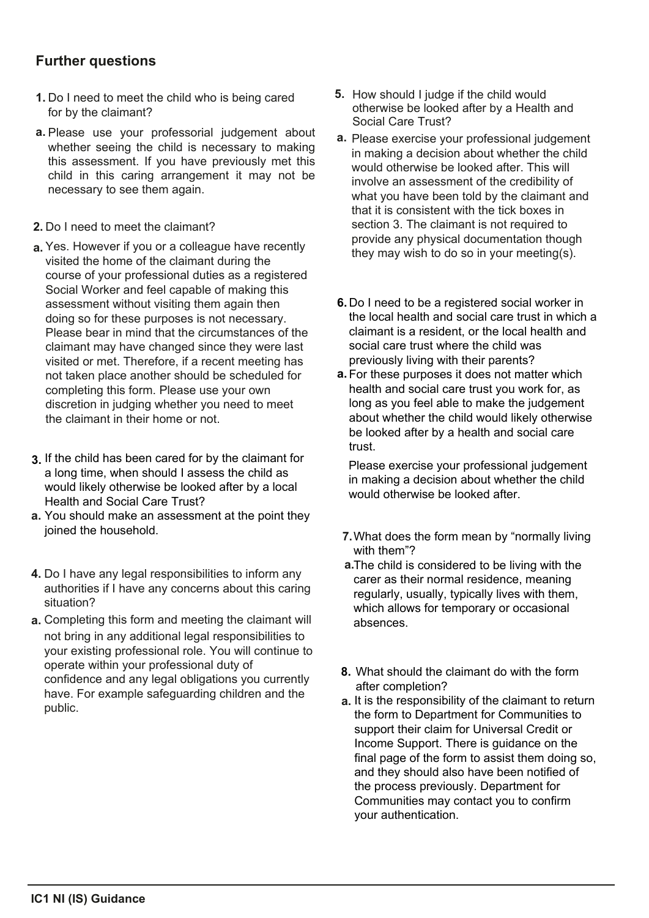### **Further questions**

- **1.** Do I need to meet the child who is being cared for by the claimant?
- **a.** Please use your professorial judgement about whether seeing the child is necessary to making this assessment. If you have previously met this child in this caring arrangement it may not be necessary to see them again.
- **2.** Do I need to meet the claimant?
- **a.** Yes. However if you or a colleague have recently visited the home of the claimant during the course of your professional duties as a registered Social Worker and feel capable of making this assessment without visiting them again then doing so for these purposes is not necessary. Please bear in mind that the circumstances of the claimant may have changed since they were last visited or met. Therefore, if a recent meeting has not taken place another should be scheduled for completing this form. Please use your own discretion in judging whether you need to meet the claimant in their home or not.
- If the child has been cared for by the claimant for **3.** a long time, when should I assess the child as would likely otherwise be looked after by a local Health and Social Care Trust?
- You should make an assessment at the point they **a.**joined the household.
- **4.** Do I have any legal responsibilities to inform any authorities if I have any concerns about this caring situation?
- **a.** Completing this form and meeting the claimant will [not bring in any additional legal](www.gov.uk/hmrc/ctc-exceptions) responsibilities to your existing professional role. You will continue to operate within your professional duty of confidence and any legal obligations you currently have. For example safeguarding children and the public.
- **5.** How should I judge if the child would otherwise be looked after by a Health and Social Care Trust?
- **a.** Please exercise your professional judgement in making a decision about whether the child would otherwise be looked after. This will involve an assessment of the credibility of what you have been told by the claimant and that it is consistent with the tick boxes in section 3. The claimant is not required to provide any physical documentation though they may wish to do so in your meeting(s).
- **6.** Do I need to be a registered social worker in the local health and social care trust in which a claimant is a resident, or the local health and social care trust where the child was previously living with their parents?
- a. For these purposes it does not matter which health and social care trust you work for, as long as you feel able to make the judgement about whether the child would likely otherwise be looked after by a health and social care trust.

Please exercise your professional judgement in making a decision about whether the child would otherwise be looked after.

- **7.** What does the form mean by "normally living with them"?
- **a.** The child is considered to be living with the carer as their normal residence, meaning regularly, usually, typically lives with them, which allows for temporary or occasional absences.
- What should the claimant do with the form **8.** after completion?
- a. It is the responsibility of the claimant to return the form to Department for Communities to support their claim for Universal Credit or Income Support. There is guidance on the final page of the form to assist them doing so, and they should also have been notified of the process previously. Department for Communities may contact you to confirm your authentication.